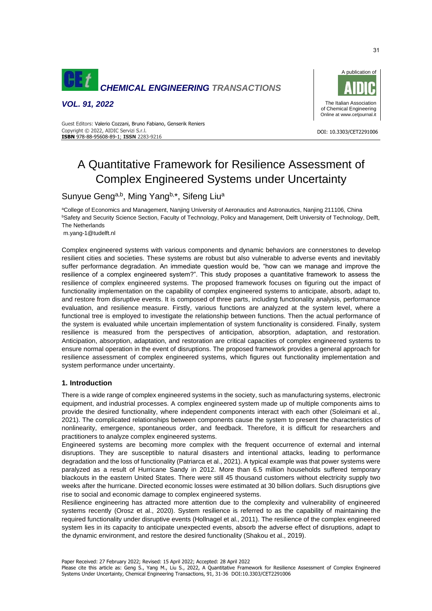

*VOL. 91, 2022*



DOI: 10.3303/CET2291006

 Copyright © 2022, AIDIC Servizi S.r.l. Guest Editors: Valerio Cozzani, Bruno Fabiano, Genserik Reniers **ISBN** 978-88-95608-89-1; **ISSN** 2283-9216

# A Quantitative Framework for Resilience Assessment of Complex Engineered Systems under Uncertainty

Sunyue Geng<sup>a,b</sup>, Ming Yang<sup>b,\*</sup>, Sifeng Liu<sup>a</sup>

<sup>a</sup>College of Economics and Management, Nanjing University of Aeronautics and Astronautics, Nanjing 211106, China **BSafety and Security Science Section, Faculty of Technology, Policy and Management, Delft University of Technology, Delft,** The Netherlands

m.yang-1@tudelft.nl

Complex engineered systems with various components and dynamic behaviors are connerstones to develop resilient cities and societies. These systems are robust but also vulnerable to adverse events and inevitably suffer performance degradation. An immediate question would be, "how can we manage and improve the resilience of a complex engineered system?". This study proposes a quantitative framework to assess the resilience of complex engineered systems. The proposed framework focuses on figuring out the impact of functionality implementation on the capability of complex engineered systems to anticipate, absorb, adapt to, and restore from disruptive events. It is composed of three parts, including functionality analysis, performance evaluation, and resilience measure. Firstly, various functions are analyzed at the system level, where a functional tree is employed to investigate the relationship between functions. Then the actual performance of the system is evaluated while uncertain implementation of system functionality is considered. Finally, system resilience is measured from the perspectives of anticipation, absorption, adaptation, and restoration. Anticipation, absorption, adaptation, and restoration are critical capacities of complex engineered systems to ensure normal operation in the event of disruptions. The proposed framework provides a general approach for resilience assessment of complex engineered systems, which figures out functionality implementation and system performance under uncertainty.

# **1. Introduction**

There is a wide range of complex engineered systems in the society, such as manufacturing systems, electronic equipment, and industrial processes. A complex engineered system made up of multiple components aims to provide the desired functionality, where independent components interact with each other (Soleimani et al., 2021). The complicated relationships between components cause the system to present the characteristics of nonlinearity, emergence, spontaneous order, and feedback. Therefore, it is difficult for researchers and practitioners to analyze complex engineered systems.

Engineered systems are becoming more complex with the frequent occurrence of external and internal disruptions. They are susceptible to natural disasters and intentional attacks, leading to performance degradation and the loss of functionality (Patriarca et al., 2021). A typical example was that power systems were paralyzed as a result of Hurricane Sandy in 2012. More than 6.5 million households suffered temporary blackouts in the eastern United States. There were still 45 thousand customers without electricity supply two weeks after the hurricane. Directed economic losses were estimated at 30 billion dollars. Such disruptions give rise to social and economic damage to complex engineered systems.

Resilience engineering has attracted more attention due to the complexity and vulnerability of engineered systems recently (Orosz et al., 2020). System resilience is referred to as the capability of maintaining the required functionality under disruptive events (Hollnagel et al., 2011). The resilience of the complex engineered system lies in its capacity to anticipate unexpected events, absorb the adverse effect of disruptions, adapt to the dynamic environment, and restore the desired functionality (Shakou et al., 2019).

Paper Received: 27 February 2022; Revised: 15 April 2022; Accepted: 28 April 2022

Please cite this article as: Geng S., Yang M., Liu S., 2022, A Quantitative Framework for Resilience Assessment of Complex Engineered Systems Under Uncertainty, Chemical Engineering Transactions, 91, 31-36 DOI:10.3303/CET2291006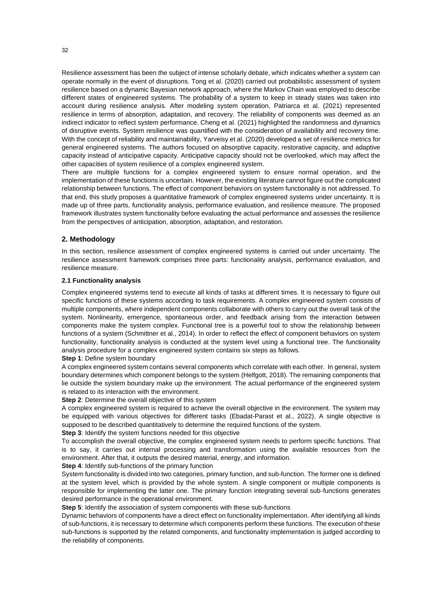Resilience assessment has been the subject of intense scholarly debate, which indicates whether a system can operate normally in the event of disruptions. Tong et al. (2020) carried out probabilistic assessment of system resilience based on a dynamic Bayesian network approach, where the Markov Chain was employed to describe different states of engineered systems. The probability of a system to keep in steady states was taken into account during resilience analysis. After modeling system operation, Patriarca et al. (2021) represented resilience in terms of absorption, adaptation, and recovery. The reliability of components was deemed as an indirect indicator to reflect system performance. Cheng et al. (2021) highlighted the randomness and dynamics of disruptive events. System resilience was quantified with the consideration of availability and recovery time. With the concept of reliability and maintainability, Yarveisy et al. (2020) developed a set of resilience metrics for general engineered systems. The authors focused on absorptive capacity, restorative capacity, and adaptive capacity instead of anticipative capacity. Anticipative capacity should not be overlooked, which may affect the other capacities of system resilience of a complex engineered system.

There are multiple functions for a complex engineered system to ensure normal operation, and the implementation of these functions is uncertain. However, the existing literature cannot figure out the complicated relationship between functions. The effect of component behaviors on system functionality is not addressed. To that end, this study proposes a quantitative framework of complex engineered systems under uncertainty. It is made up of three parts, functionality analysis, performance evaluation, and resilience measure. The proposed framework illustrates system functionality before evaluating the actual performance and assesses the resilience from the perspectives of anticipation, absorption, adaptation, and restoration.

#### **2. Methodology**

In this section, resilience assessment of complex engineered systems is carried out under uncertainty. The resilience assessment framework comprises three parts: functionality analysis, performance evaluation, and resilience measure.

#### **2.1 Functionality analysis**

Complex engineered systems tend to execute all kinds of tasks at different times. It is necessary to figure out specific functions of these systems according to task requirements. A complex engineered system consists of multiple components, where independent components collaborate with others to carry out the overall task of the system. Nonlinearity, emergence, spontaneous order, and feedback arising from the interaction between components make the system complex. Functional tree is a powerful tool to show the relationship between functions of a system (Schmittner et al., 2014). In order to reflect the effect of component behaviors on system functionality, functionality analysis is conducted at the system level using a functional tree. The functionality analysis procedure for a complex engineered system contains six steps as follows.

#### **Step 1**: Define system boundary

A complex engineered system contains several components which correlate with each other. In general, system boundary determines which component belongs to the system (Helfgott, 2018). The remaining components that lie outside the system boundary make up the environment. The actual performance of the engineered system is related to its interaction with the environment.

**Step 2**: Determine the overall objective of this system

A complex engineered system is required to achieve the overall objective in the environment. The system may be equipped with various objectives for different tasks (Ebadat-Parast et al., 2022). A single objective is supposed to be described quantitatively to determine the required functions of the system.

**Step 3**: Identify the system functions needed for this objective

To accomplish the overall objective, the complex engineered system needs to perform specific functions. That is to say, it carries out internal processing and transformation using the available resources from the environment. After that, it outputs the desired material, energy, and information.

**Step 4**: Identify sub-functions of the primary function

System functionality is divided into two categories, primary function, and sub-function. The former one is defined at the system level, which is provided by the whole system. A single component or multiple components is responsible for implementing the latter one. The primary function integrating several sub-functions generates desired performance in the operational environment.

**Step 5:** Identify the association of system components with these sub-functions

Dynamic behaviors of components have a direct effect on functionality implementation. After identifying all kinds of sub-functions, it is necessary to determine which components perform these functions. The execution of these sub-functions is supported by the related components, and functionality implementation is judged according to the reliability of components.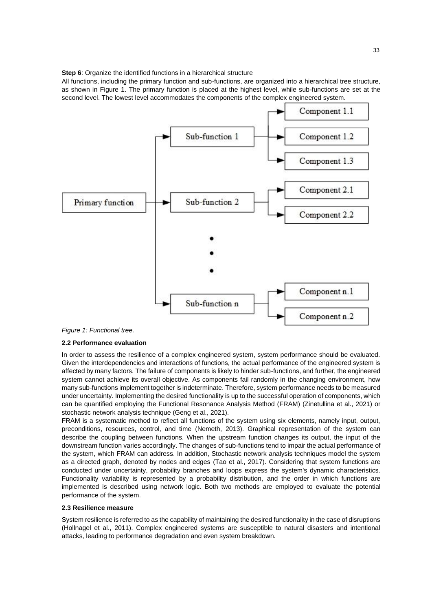**Step 6**: Organize the identified functions in a hierarchical structure

All functions, including the primary function and sub-functions, are organized into a hierarchical tree structure, as shown in Figure 1. The primary function is placed at the highest level, while sub-functions are set at the second level. The lowest level accommodates the components of the complex engineered system.



#### *Figure 1: Functional tree.*

# **2.2 Performance evaluation**

In order to assess the resilience of a complex engineered system, system performance should be evaluated. Given the interdependencies and interactions of functions, the actual performance of the engineered system is affected by many factors. The failure of components is likely to hinder sub-functions, and further, the engineered system cannot achieve its overall objective. As components fail randomly in the changing environment, how many sub-functions implement together is indeterminate. Therefore, system performance needs to be measured under uncertainty. Implementing the desired functionality is up to the successful operation of components, which can be quantified employing the Functional Resonance Analysis Method (FRAM) (Zinetullina et al., 2021) or stochastic network analysis technique (Geng et al., 2021).

FRAM is a systematic method to reflect all functions of the system using six elements, namely input, output, preconditions, resources, control, and time (Nemeth, 2013). Graphical representation of the system can describe the coupling between functions. When the upstream function changes its output, the input of the downstream function varies accordingly. The changes of sub-functions tend to impair the actual performance of the system, which FRAM can address. In addition, Stochastic network analysis techniques model the system as a directed graph, denoted by nodes and edges (Tao et al., 2017). Considering that system functions are conducted under uncertainty, probability branches and loops express the system's dynamic characteristics. Functionality variability is represented by a probability distribution, and the order in which functions are implemented is described using network logic. Both two methods are employed to evaluate the potential performance of the system.

#### **2.3 Resilience measure**

System resilience is referred to as the capability of maintaining the desired functionality in the case of disruptions (Hollnagel et al., 2011). Complex engineered systems are susceptible to natural disasters and intentional attacks, leading to performance degradation and even system breakdown.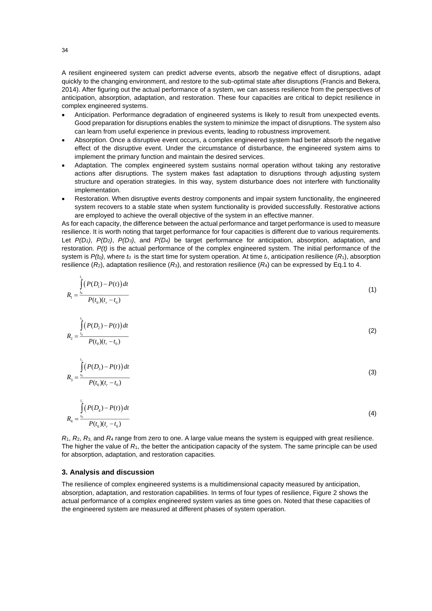A resilient engineered system can predict adverse events, absorb the negative effect of disruptions, adapt quickly to the changing environment, and restore to the sub-optimal state after disruptions (Francis and Bekera, 2014). After figuring out the actual performance of a system, we can assess resilience from the perspectives of anticipation, absorption, adaptation, and restoration. These four capacities are critical to depict resilience in complex engineered systems.

- Anticipation. Performance degradation of engineered systems is likely to result from unexpected events. Good preparation for disruptions enables the system to minimize the impact of disruptions. The system also can learn from useful experience in previous events, leading to robustness improvement.
- Absorption. Once a disruptive event occurs, a complex engineered system had better absorb the negative effect of the disruptive event. Under the circumstance of disturbance, the engineered system aims to implement the primary function and maintain the desired services.
- Adaptation. The complex engineered system sustains normal operation without taking any restorative actions after disruptions. The system makes fast adaptation to disruptions through adjusting system structure and operation strategies. In this way, system disturbance does not interfere with functionality implementation.
- Restoration. When disruptive events destroy components and impair system functionality, the engineered system recovers to a stable state when system functionality is provided successfully. Restorative actions are employed to achieve the overall objective of the system in an effective manner.

As for each capacity, the difference between the actual performance and target performance is used to measure resilience. It is worth noting that target performance for four capacities is different due to various requirements. Let *P(D1)*, *P(D2)*, *P(D3)*, and *P(D4)* be target performance for anticipation, absorption, adaptation, and restoration. *P(t)* is the actual performance of the complex engineered system. The initial performance of the system is  $P(t_0)$ , where  $t_0$  is the start time for system operation. At time  $t_0$ , anticipation resilience  $(R_1)$ , absorption resilience  $(R_2)$ , adaptation resilience  $(R_3)$ , and restoration resilience  $(R_4)$  can be expressed by Eq.1 to 4.

$$
R_1 = \frac{\int_0^{t_r} (P(D_1) - P(t)) dt}{P(t_0)(t_r - t_0)}
$$
\n(1)

$$
R_2 = \frac{\int_0^{t_r} (P(D_2) - P(t)) dt}{P(t_0)(t_r - t_0)}
$$
\n(2)

$$
R_3 = \frac{\int_0^t (P(D_3) - P(t)) dt}{P(t_0)(t_r - t_0)}
$$
\n(3)

$$
R_4 = \frac{\int_0^t (P(D_4) - P(t)) dt}{P(t_0)(t_r - t_0)}
$$
\n(4)

 $R_1$ ,  $R_2$ ,  $R_3$ , and  $R_4$  range from zero to one. A large value means the system is equipped with great resilience. The higher the value of *R*1, the better the anticipation capacity of the system. The same principle can be used for absorption, adaptation, and restoration capacities.

# **3. Analysis and discussion**

The resilience of complex engineered systems is a multidimensional capacity measured by anticipation, absorption, adaptation, and restoration capabilities. In terms of four types of resilience, Figure 2 shows the actual performance of a complex engineered system varies as time goes on. Noted that these capacities of the engineered system are measured at different phases of system operation.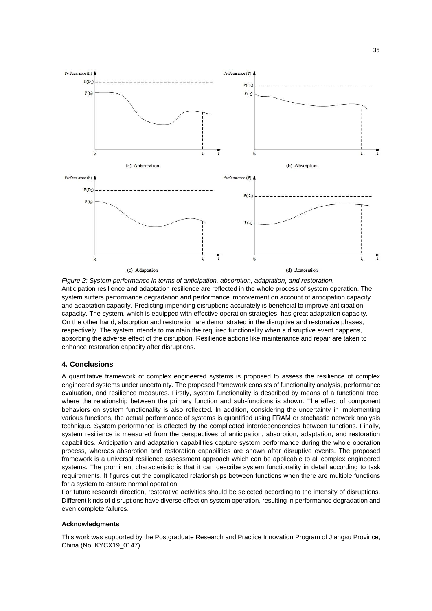

*Figure 2: System performance in terms of anticipation, absorption, adaptation, and restoration.* Anticipation resilience and adaptation resilience are reflected in the whole process of system operation. The system suffers performance degradation and performance improvement on account of anticipation capacity and adaptation capacity. Predicting impending disruptions accurately is beneficial to improve anticipation capacity. The system, which is equipped with effective operation strategies, has great adaptation capacity. On the other hand, absorption and restoration are demonstrated in the disruptive and restorative phases, respectively. The system intends to maintain the required functionality when a disruptive event happens, absorbing the adverse effect of the disruption. Resilience actions like maintenance and repair are taken to enhance restoration capacity after disruptions.

# **4. Conclusions**

A quantitative framework of complex engineered systems is proposed to assess the resilience of complex engineered systems under uncertainty. The proposed framework consists of functionality analysis, performance evaluation, and resilience measures. Firstly, system functionality is described by means of a functional tree, where the relationship between the primary function and sub-functions is shown. The effect of component behaviors on system functionality is also reflected. In addition, considering the uncertainty in implementing various functions, the actual performance of systems is quantified using FRAM or stochastic network analysis technique. System performance is affected by the complicated interdependencies between functions. Finally, system resilience is measured from the perspectives of anticipation, absorption, adaptation, and restoration capabilities. Anticipation and adaptation capabilities capture system performance during the whole operation process, whereas absorption and restoration capabilities are shown after disruptive events. The proposed framework is a universal resilience assessment approach which can be applicable to all complex engineered systems. The prominent characteristic is that it can describe system functionality in detail according to task requirements. It figures out the complicated relationships between functions when there are multiple functions for a system to ensure normal operation.

For future research direction, restorative activities should be selected according to the intensity of disruptions. Different kinds of disruptions have diverse effect on system operation, resulting in performance degradation and even complete failures.

# **Acknowledgments**

This work was supported by the Postgraduate Research and Practice Innovation Program of Jiangsu Province, China (No. KYCX19\_0147).